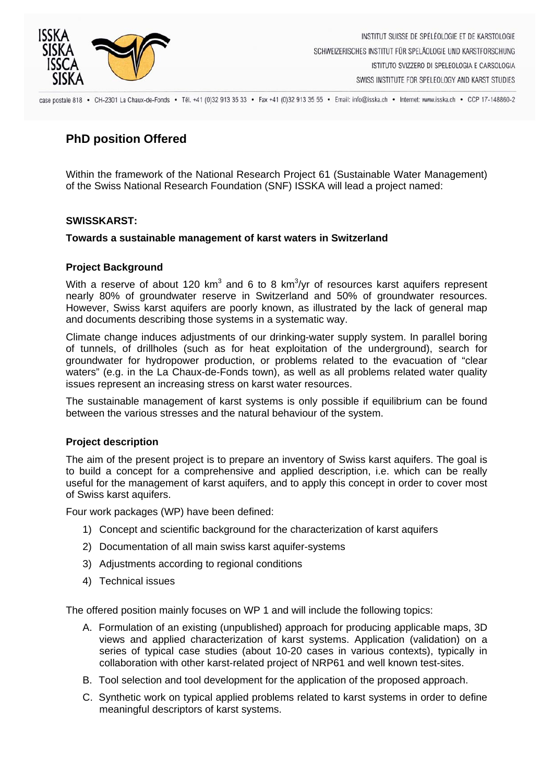

case postale 818 · CH-2301 La Chaux-de-Fonds · Tél. +41 (0)32 913 35 33 · Fax +41 (0)32 913 35 55 · Email: info@isska.ch · Internet: www.isska.ch · CCP 17-148860-2

# **PhD position Offered**

Within the framework of the National Research Project 61 (Sustainable Water Management) of the Swiss National Research Foundation (SNF) ISSKA will lead a project named:

# **SWISSKARST:**

#### **Towards a sustainable management of karst waters in Switzerland**

#### **Project Background**

With a reserve of about 120 km<sup>3</sup> and 6 to 8 km<sup>3</sup>/yr of resources karst aquifers represent nearly 80% of groundwater reserve in Switzerland and 50% of groundwater resources. However, Swiss karst aquifers are poorly known, as illustrated by the lack of general map and documents describing those systems in a systematic way.

Climate change induces adjustments of our drinking-water supply system. In parallel boring of tunnels, of drillholes (such as for heat exploitation of the underground), search for groundwater for hydropower production, or problems related to the evacuation of "clear waters" (e.g. in the La Chaux-de-Fonds town), as well as all problems related water quality issues represent an increasing stress on karst water resources.

The sustainable management of karst systems is only possible if equilibrium can be found between the various stresses and the natural behaviour of the system.

# **Project description**

The aim of the present project is to prepare an inventory of Swiss karst aquifers. The goal is to build a concept for a comprehensive and applied description, i.e. which can be really useful for the management of karst aquifers, and to apply this concept in order to cover most of Swiss karst aquifers.

Four work packages (WP) have been defined:

- 1) Concept and scientific background for the characterization of karst aquifers
- 2) Documentation of all main swiss karst aquifer-systems
- 3) Adjustments according to regional conditions
- 4) Technical issues

The offered position mainly focuses on WP 1 and will include the following topics:

- A. Formulation of an existing (unpublished) approach for producing applicable maps, 3D views and applied characterization of karst systems. Application (validation) on a series of typical case studies (about 10-20 cases in various contexts), typically in collaboration with other karst-related project of NRP61 and well known test-sites.
- B. Tool selection and tool development for the application of the proposed approach.
- C. Synthetic work on typical applied problems related to karst systems in order to define meaningful descriptors of karst systems.